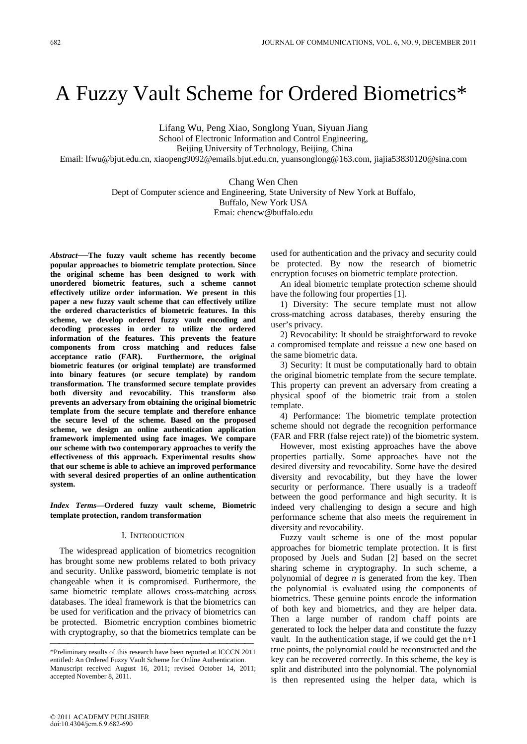# A Fuzzy Vault Scheme for Ordered Biometrics\*

Lifang Wu, Peng Xiao, Songlong Yuan, Siyuan Jiang

School of Electronic Information and Control Engineering,

Beijing University of Technology, Beijing, China

Email: lfwu@bjut.edu.cn, xiaopeng9092@emails.bjut.edu.cn, yuansonglong@163.com, jiajia53830120@sina.com

Chang Wen Chen

Dept of Computer science and Engineering, State University of New York at Buffalo, Buffalo, New York USA

Emai: chencw@buffalo.edu

*Abstract*—**The fuzzy vault scheme has recently become popular approaches to biometric template protection. Since the original scheme has been designed to work with unordered biometric features, such a scheme cannot effectively utilize order information. We present in this paper a new fuzzy vault scheme that can effectively utilize the ordered characteristics of biometric features. In this scheme, we develop ordered fuzzy vault encoding and decoding processes in order to utilize the ordered information of the features. This prevents the feature components from cross matching and reduces false acceptance ratio (FAR). Furthermore, the original biometric features (or original template) are transformed into binary features (or secure template) by random transformation. The transformed secure template provides both diversity and revocability. This transform also prevents an adversary from obtaining the original biometric template from the secure template and therefore enhance the secure level of the scheme. Based on the proposed scheme, we design an online authentication application framework implemented using face images. We compare our scheme with two contemporary approaches to verify the effectiveness of this approach. Experimental results show that our scheme is able to achieve an improved performance with several desired properties of an online authentication system.** 

*Index Terms***—Ordered fuzzy vault scheme, Biometric template protection, random transformation**

# I. INTRODUCTION

The widespread application of biometrics recognition has brought some new problems related to both privacy and security. Unlike password, biometric template is not changeable when it is compromised. Furthermore, the same biometric template allows cross-matching across databases. The ideal framework is that the biometrics can be used for verification and the privacy of biometrics can be protected. Biometric encryption combines biometric with cryptography, so that the biometrics template can be

used for authentication and the privacy and security could be protected. By now the research of biometric encryption focuses on biometric template protection.

An ideal biometric template protection scheme should have the following four properties [1].

1) Diversity: The secure template must not allow cross-matching across databases, thereby ensuring the user's privacy.

2) Revocability: It should be straightforward to revoke a compromised template and reissue a new one based on the same biometric data.

3) Security: It must be computationally hard to obtain the original biometric template from the secure template. This property can prevent an adversary from creating a physical spoof of the biometric trait from a stolen template.

4) Performance: The biometric template protection scheme should not degrade the recognition performance (FAR and FRR (false reject rate)) of the biometric system.

However, most existing approaches have the above properties partially. Some approaches have not the desired diversity and revocability. Some have the desired diversity and revocability, but they have the lower security or performance. There usually is a tradeoff between the good performance and high security. It is indeed very challenging to design a secure and high performance scheme that also meets the requirement in diversity and revocability.

Fuzzy vault scheme is one of the most popular approaches for biometric template protection. It is first proposed by Juels and Sudan [2] based on the secret sharing scheme in cryptography. In such scheme, a polynomial of degree *n* is generated from the key. Then the polynomial is evaluated using the components of biometrics. These genuine points encode the information of both key and biometrics, and they are helper data. Then a large number of random chaff points are generated to lock the helper data and constitute the fuzzy vault. In the authentication stage, if we could get the  $n+1$ true points, the polynomial could be reconstructed and the key can be recovered correctly. In this scheme, the key is split and distributed into the polynomial. The polynomial is then represented using the helper data, which is

<sup>\*</sup>Preliminary results of this research have been reported at ICCCN 2011 entitled: An Ordered Fuzzy Vault Scheme for Online Authentication. Manuscript received August 16, 2011; revised October 14, 2011; accepted November 8, 2011.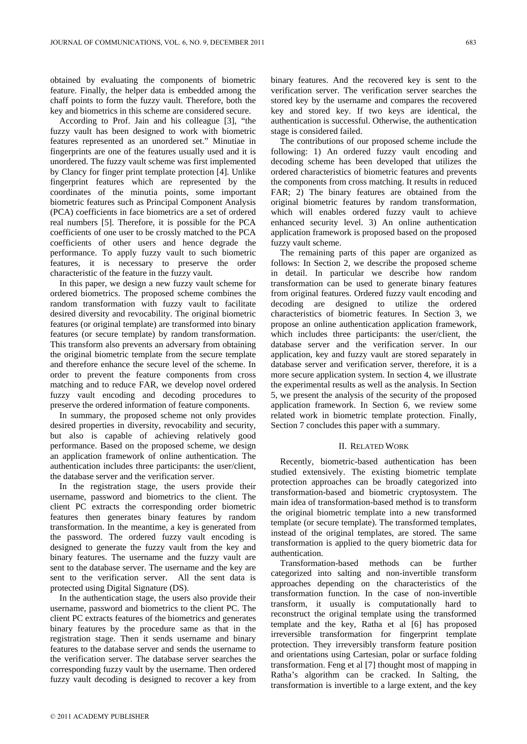obtained by evaluating the components of biometric feature. Finally, the helper data is embedded among the chaff points to form the fuzzy vault. Therefore, both the key and biometrics in this scheme are considered secure.

According to Prof. Jain and his colleague [3], "the fuzzy vault has been designed to work with biometric features represented as an unordered set." Minutiae in fingerprints are one of the features usually used and it is unordered. The fuzzy vault scheme was first implemented by Clancy for finger print template protection [4]. Unlike fingerprint features which are represented by the coordinates of the minutia points, some important biometric features such as Principal Component Analysis (PCA) coefficients in face biometrics are a set of ordered real numbers [5]. Therefore, it is possible for the PCA coefficients of one user to be crossly matched to the PCA coefficients of other users and hence degrade the performance. To apply fuzzy vault to such biometric features, it is necessary to preserve the order characteristic of the feature in the fuzzy vault.

In this paper, we design a new fuzzy vault scheme for ordered biometrics. The proposed scheme combines the random transformation with fuzzy vault to facilitate desired diversity and revocability. The original biometric features (or original template) are transformed into binary features (or secure template) by random transformation. This transform also prevents an adversary from obtaining the original biometric template from the secure template and therefore enhance the secure level of the scheme. In order to prevent the feature components from cross matching and to reduce FAR, we develop novel ordered fuzzy vault encoding and decoding procedures to preserve the ordered information of feature components.

In summary, the proposed scheme not only provides desired properties in diversity, revocability and security, but also is capable of achieving relatively good performance. Based on the proposed scheme, we design an application framework of online authentication. The authentication includes three participants: the user/client, the database server and the verification server.

In the registration stage, the users provide their username, password and biometrics to the client. The client PC extracts the corresponding order biometric features then generates binary features by random transformation. In the meantime, a key is generated from the password. The ordered fuzzy vault encoding is designed to generate the fuzzy vault from the key and binary features. The username and the fuzzy vault are sent to the database server. The username and the key are sent to the verification server. All the sent data is protected using Digital Signature (DS).

In the authentication stage, the users also provide their username, password and biometrics to the client PC. The client PC extracts features of the biometrics and generates binary features by the procedure same as that in the registration stage. Then it sends username and binary features to the database server and sends the username to the verification server. The database server searches the corresponding fuzzy vault by the username. Then ordered fuzzy vault decoding is designed to recover a key from binary features. And the recovered key is sent to the verification server. The verification server searches the stored key by the username and compares the recovered key and stored key. If two keys are identical, the authentication is successful. Otherwise, the authentication stage is considered failed.

The contributions of our proposed scheme include the following: 1) An ordered fuzzy vault encoding and decoding scheme has been developed that utilizes the ordered characteristics of biometric features and prevents the components from cross matching. It results in reduced FAR; 2) The binary features are obtained from the original biometric features by random transformation, which will enables ordered fuzzy vault to achieve enhanced security level. 3) An online authentication application framework is proposed based on the proposed fuzzy vault scheme.

The remaining parts of this paper are organized as follows: In Section 2, we describe the proposed scheme in detail. In particular we describe how random transformation can be used to generate binary features from original features. Ordered fuzzy vault encoding and decoding are designed to utilize the ordered characteristics of biometric features. In Section 3, we propose an online authentication application framework, which includes three participants: the user/client, the database server and the verification server. In our application, key and fuzzy vault are stored separately in database server and verification server, therefore, it is a more secure application system. In section 4, we illustrate the experimental results as well as the analysis. In Section 5, we present the analysis of the security of the proposed application framework. In Section 6, we review some related work in biometric template protection. Finally, Section 7 concludes this paper with a summary.

## II. RELATED WORK

Recently, biometric-based authentication has been studied extensively. The existing biometric template protection approaches can be broadly categorized into transformation-based and biometric cryptosystem. The main idea of transformation-based method is to transform the original biometric template into a new transformed template (or secure template). The transformed templates, instead of the original templates, are stored. The same transformation is applied to the query biometric data for authentication.

Transformation-based methods can be further categorized into salting and non-invertible transform approaches depending on the characteristics of the transformation function. In the case of non-invertible transform, it usually is computationally hard to reconstruct the original template using the transformed template and the key, Ratha et al [6] has proposed irreversible transformation for fingerprint template protection. They irreversibly transform feature position and orientations using Cartesian, polar or surface folding transformation. Feng et al [7] thought most of mapping in Ratha's algorithm can be cracked. In Salting, the transformation is invertible to a large extent, and the key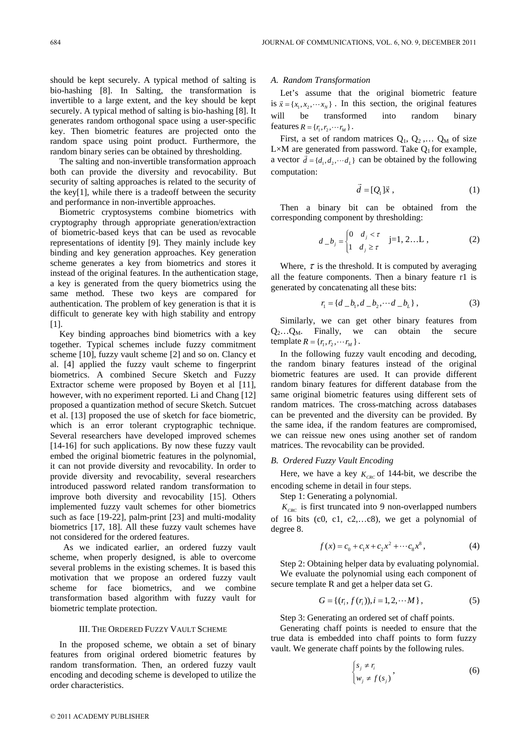should be kept securely. A typical method of salting is bio-hashing [8]. In Salting, the transformation is invertible to a large extent, and the key should be kept securely. A typical method of salting is bio-hashing [8]. It generates random orthogonal space using a user-specific key. Then biometric features are projected onto the random space using point product. Furthermore, the random binary series can be obtained by thresholding.

The salting and non-invertible transformation approach both can provide the diversity and revocability. But security of salting approaches is related to the security of the key[1], while there is a tradeoff between the security and performance in non-invertible approaches.

Biometric cryptosystems combine biometrics with cryptography through appropriate generation/extraction of biometric-based keys that can be used as revocable representations of identity [9]. They mainly include key binding and key generation approaches. Key generation scheme generates a key from biometrics and stores it instead of the original features. In the authentication stage, a key is generated from the query biometrics using the same method. These two keys are compared for authentication. The problem of key generation is that it is difficult to generate key with high stability and entropy [1].

Key binding approaches bind biometrics with a key together. Typical schemes include fuzzy commitment scheme [10], fuzzy vault scheme [2] and so on. Clancy et al. [4] applied the fuzzy vault scheme to fingerprint biometrics. A combined Secure Sketch and Fuzzy Extractor scheme were proposed by Boyen et al [11], however, with no experiment reported. Li and Chang [12] proposed a quantization method of secure Sketch. Sutcuet et al. [13] proposed the use of sketch for face biometric, which is an error tolerant cryptographic technique. Several researchers have developed improved schemes [14-16] for such applications. By now these fuzzy vault embed the original biometric features in the polynomial, it can not provide diversity and revocability. In order to provide diversity and revocability, several researchers introduced password related random transformation to improve both diversity and revocability [15]. Others implemented fuzzy vault schemes for other biometrics such as face [19-22], palm-print [23] and multi-modality biometrics [17, 18]. All these fuzzy vault schemes have not considered for the ordered features.

As we indicated earlier, an ordered fuzzy vault scheme, when properly designed, is able to overcome several problems in the existing schemes. It is based this motivation that we propose an ordered fuzzy vault scheme for face biometrics, and we combine transformation based algorithm with fuzzy vault for biometric template protection.

#### III. THE ORDERED FUZZY VAULT SCHEME

In the proposed scheme, we obtain a set of binary features from original ordered biometric features by random transformation. Then, an ordered fuzzy vault encoding and decoding scheme is developed to utilize the order characteristics.

# *A. Random Transformation*

Let's assume that the original biometric feature is  $\vec{x} = \{x_1, x_2, \dots, x_N\}$ . In this section, the original features will be transformed into random binary features  $R = \{r_1, r_2, \cdots r_M\}$ .

First, a set of random matrices  $Q_1$ ,  $Q_2$ ,...  $Q_M$  of size L×M are generated from password. Take  $Q_1$  for example, a vector  $\vec{d} = \{d_1, d_2, \dots d_L\}$  can be obtained by the following computation:

$$
\vec{d} = [Q_1] \vec{x} , \qquad (1)
$$

Then a binary bit can be obtained from the corresponding component by thresholding:

$$
d_{-}b_{j} = \begin{cases} 0 & d_{j} < \tau \\ 1 & d_{j} \ge \tau \end{cases} \quad j=1, 2...L , \quad (2)
$$

Where,  $\tau$  is the threshold. It is computed by averaging all the feature components. Then a binary feature r1 is generated by concatenating all these bits:

$$
r_1 = \{d \_b_1, d \_b_2, \cdots d \_b_L\},\tag{3}
$$

Similarly, we can get other binary features from  $Q_2...Q_M$ . Finally, we can obtain the secure template  $R = \{r_1, r_2, \cdots r_M\}$ .

In the following fuzzy vault encoding and decoding, the random binary features instead of the original biometric features are used. It can provide different random binary features for different database from the same original biometric features using different sets of random matrices. The cross-matching across databases can be prevented and the diversity can be provided. By the same idea, if the random features are compromised, we can reissue new ones using another set of random matrices. The revocability can be provided.

## *B. Ordered Fuzzy Vault Encoding*

Here, we have a key  $K<sub>CKC</sub>$  of 144-bit, we describe the encoding scheme in detail in four steps.

Step 1: Generating a polynomial.

 $K_{CRC}$  is first truncated into 9 non-overlapped numbers of 16 bits (c0, c1, c2,…c8), we get a polynomial of degree 8.

$$
f(x) = c_0 + c_1 x + c_2 x^2 + \cdots + c_8 x^8,
$$
 (4)

Step 2: Obtaining helper data by evaluating polynomial. We evaluate the polynomial using each component of secure template R and get a helper data set G.

$$
G = \{ (r_i, f(r_i)), i = 1, 2, \cdots M \},
$$
 (5)

Step 3: Generating an ordered set of chaff points.

Generating chaff points is needed to ensure that the true data is embedded into chaff points to form fuzzy vault. We generate chaff points by the following rules.

$$
\begin{cases} s_j \neq r_i \\ w_j \neq f(s_j) \end{cases}, \tag{6}
$$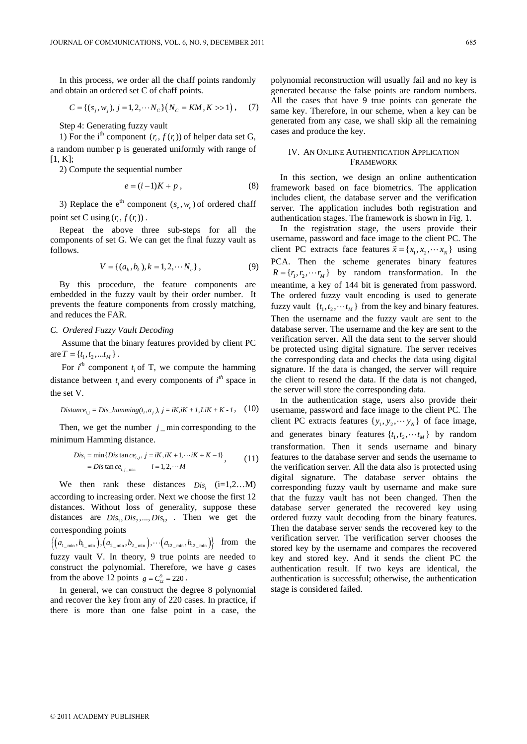In this process, we order all the chaff points randomly and obtain an ordered set C of chaff points.

$$
C = \{(s_j, w_j), j = 1, 2, \cdots N_C\} (N_C = KM, K \gg 1), \quad (7)
$$

Step 4: Generating fuzzy vault

1) For the i<sup>th</sup> component  $(r_i, f(r_i))$  of helper data set G, a random number p is generated uniformly with range of  $[1, K];$ 

2) Compute the sequential number

$$
e = (i-1)K + p \tag{8}
$$

3) Replace the e<sup>th</sup> component  $(s_0, w_0)$  of ordered chaff point set C using  $(r_i, f(r_i))$ .

Repeat the above three sub-steps for all the components of set G. We can get the final fuzzy vault as follows.

$$
V = \{(a_k, b_k), k = 1, 2, \cdots N_c\},\tag{9}
$$

By this procedure, the feature components are embedded in the fuzzy vault by their order number. It prevents the feature components from crossly matching, and reduces the FAR.

## *C. Ordered Fuzzy Vault Decoding*

 Assume that the binary features provided by client PC are  $T = \{t_1, t_2, \ldots t_M\}$ .

For  $i^{th}$  component  $t_i$  of T, we compute the hamming distance between  $t_i$  and every components of  $i<sup>th</sup>$  space in the set V.

Distance<sub>i,j</sub> = Dis\_hamming
$$
(t_i, a_j)
$$
,  $j = iK$ ,  $iK + 1$ ,  $LiK + K - 1$ , (10)

Then, we get the number  $j$  min corresponding to the minimum Hamming distance.

$$
Dis_i = \min\{Dis \tan ce_{i,j}, j = iK, iK + 1, \cdots iK + K - 1\}
$$
  
= 
$$
Dis \tan ce_{i,j_{\text{min}}}
$$
  $i = 1, 2, \cdots M$  (11)

We then rank these distances  $Dis_i$   $(i=1,2...M)$ according to increasing order. Next we choose the first 12 distances. Without loss of generality, suppose these distances are  $Dis_1, Dis_2, ..., Dis_1,$  Then we get the corresponding points

 $\{(a_{1_{\text{min}}}, b_{1_{\text{min}}}), (a_{2_{\text{min}}}, b_{2_{\text{min}}}), \cdots (a_{1_{2_{\text{min}}}}, b_{1_{2_{\text{min}}}})\}$  from the fuzzy vault V. In theory, 9 true points are needed to construct the polynomial. Therefore, we have *g* cases from the above 12 points  $g = C_{12}^9 = 220$ .

In general, we can construct the degree 8 polynomial and recover the key from any of 220 cases. In practice, if there is more than one false point in a case, the

polynomial reconstruction will usually fail and no key is generated because the false points are random numbers. All the cases that have 9 true points can generate the same key. Therefore, in our scheme, when a key can be generated from any case, we shall skip all the remaining cases and produce the key.

## IV. AN ONLINE AUTHENTICATION APPLICATION **FRAMEWORK**

In this section, we design an online authentication framework based on face biometrics. The application includes client, the database server and the verification server. The application includes both registration and authentication stages. The framework is shown in Fig. 1.

In the registration stage, the users provide their username, password and face image to the client PC. The client PC extracts face features  $\vec{x} = \{x_1, x_2, \dots, x_N\}$  using PCA. Then the scheme generates binary features  $R = \{r_1, r_2, \dots r_M\}$  by random transformation. In the meantime, a key of 144 bit is generated from password. The ordered fuzzy vault encoding is used to generate fuzzy vault  $\{t_1, t_2, \dots, t_M\}$  from the key and binary features. Then the username and the fuzzy vault are sent to the database server. The username and the key are sent to the verification server. All the data sent to the server should be protected using digital signature. The server receives the corresponding data and checks the data using digital signature. If the data is changed, the server will require the client to resend the data. If the data is not changed, the server will store the corresponding data.

In the authentication stage, users also provide their username, password and face image to the client PC. The client PC extracts features  $\{y_1, y_2, \dots, y_N\}$  of face image, and generates binary features  $\{t_1, t_2, \dots, t_M\}$  by random transformation. Then it sends username and binary features to the database server and sends the username to the verification server. All the data also is protected using digital signature. The database server obtains the corresponding fuzzy vault by username and make sure that the fuzzy vault has not been changed. Then the database server generated the recovered key using ordered fuzzy vault decoding from the binary features. Then the database server sends the recovered key to the verification server. The verification server chooses the stored key by the username and compares the recovered key and stored key. And it sends the client PC the authentication result. If two keys are identical, the authentication is successful; otherwise, the authentication stage is considered failed.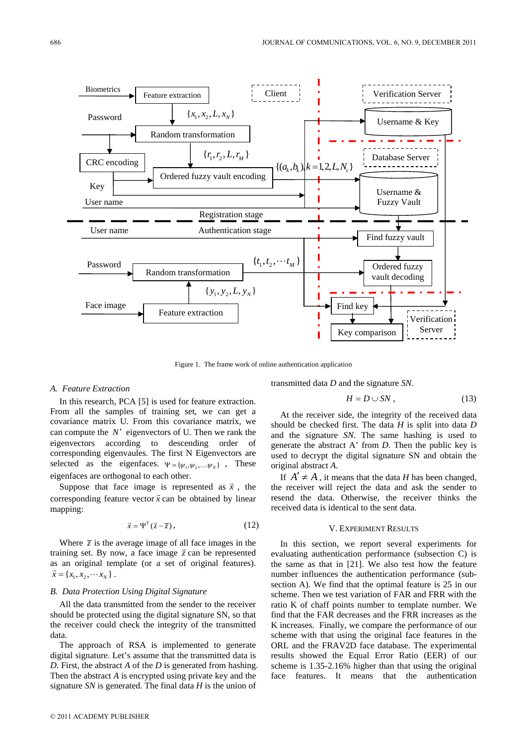

Figure 1. The frame work of online authentication application

#### *A. Feature Extraction*

In this research, PCA [5] is used for feature extraction. From all the samples of training set, we can get a covariance matrix U. From this covariance matrix, we can compute the  $N'$  eigenvectors of U. Then we rank the eigenvectors according to descending order of corresponding eigenvaules. The first N Eigenvectors are selected as the eigenfaces.  $\Psi = {\psi_1, \psi_2, \dots, \psi_N}$ , These eigenfaces are orthogonal to each other.

Suppose that face image is represented as  $\vec{x}$ , the corresponding feature vector  $\vec{x}$  can be obtained by linear mapping:

$$
\vec{x} = \Psi^T(\vec{z} - \overline{z}),\tag{12}
$$

Where  $\bar{z}$  is the average image of all face images in the where  $\zeta$  is the average mage of an race mages in the training set. By now, a face image  $\vec{z}$  can be represented as an original template (or a set of original features).  $\vec{x} = \{x_1, x_2, \cdots x_N\}$ .

#### *B. Data Protection Using Digital Signature*

All the data transmitted from the sender to the receiver should be protected using the digital signature SN, so that the receiver could check the integrity of the transmitted data.

The approach of RSA is implemented to generate digital signature. Let's assume that the transmitted data is *D*. First, the abstract *A* of the *D* is generated from hashing. Then the abstract *A* is encrypted using private key and the signature *SN* is generated. The final data *H* is the union of

transmitted data *D* and the signature *SN*.

$$
H = D \cup SN \,,\tag{13}
$$

At the receiver side, the integrity of the received data should be checked first. The data *H* is split into data *D* and the signature *SN*. The same hashing is used to generate the abstract A' from *D*. Then the public key is used to decrypt the digital signature SN and obtain the original abstract *A*.

If  $A' \neq A$ , it means that the data *H* has been changed, the receiver will reject the data and ask the sender to resend the data. Otherwise, the receiver thinks the received data is identical to the sent data.

## V. EXPERIMENT RESULTS

In this section, we report several experiments for evaluating authentication performance (subsection C) is the same as that in [21]. We also test how the feature number influences the authentication performance (subsection A). We find that the optimal feature is 25 in our scheme. Then we test variation of FAR and FRR with the ratio K of chaff points number to template number. We find that the FAR decreases and the FRR increases as the K increases. Finally, we compare the performance of our scheme with that using the original face features in the ORL and the FRAV2D face database. The experimental results showed the Equal Error Ratio (EER) of our scheme is 1.35-2.16% higher than that using the original face features. It means that the authentication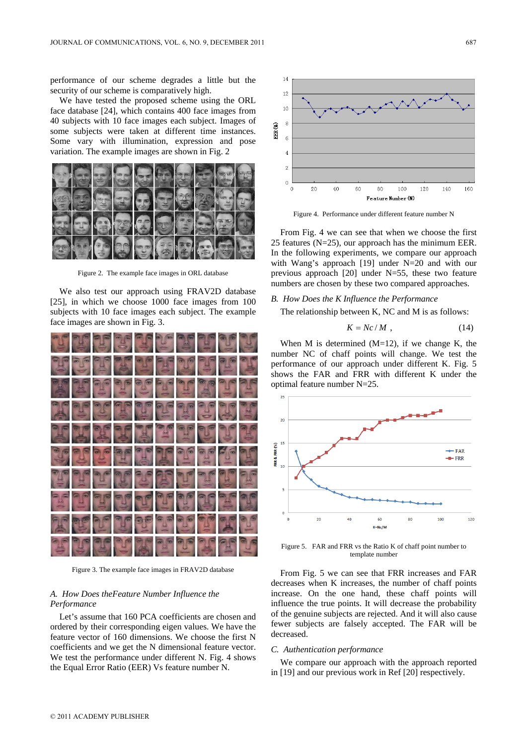performance of our scheme degrades a little but the security of our scheme is comparatively high.

We have tested the proposed scheme using the ORL face database [24], which contains 400 face images from 40 subjects with 10 face images each subject. Images of some subjects were taken at different time instances. Some vary with illumination, expression and pose variation. The example images are shown in Fig. 2



Figure 2. The example face images in ORL database

We also test our approach using FRAV2D database [25], in which we choose 1000 face images from 100 subjects with 10 face images each subject. The example face images are shown in Fig. 3.



Figure 3. The example face images in FRAV2D database

# *A. How Does theFeature Number Influence the Performance*

Let's assume that 160 PCA coefficients are chosen and ordered by their corresponding eigen values. We have the feature vector of 160 dimensions. We choose the first N coefficients and we get the N dimensional feature vector. We test the performance under different N. Fig. 4 shows the Equal Error Ratio (EER) Vs feature number N.



Figure 4. Performance under different feature number N

From Fig. 4 we can see that when we choose the first 25 features (N=25), our approach has the minimum EER. In the following experiments, we compare our approach with Wang's approach [19] under N=20 and with our previous approach [20] under N=55, these two feature numbers are chosen by these two compared approaches.

## *B. How Does the K Influence the Performance*

The relationship between K, NC and M is as follows:

$$
K = Nc/M \t{,} \t(14)
$$

When M is determined  $(M=12)$ , if we change K, the number NC of chaff points will change. We test the performance of our approach under different K. Fig. 5 shows the FAR and FRR with different K under the optimal feature number N=25.



Figure 5. FAR and FRR vs the Ratio K of chaff point number to template number

From Fig. 5 we can see that FRR increases and FAR decreases when K increases, the number of chaff points increase. On the one hand, these chaff points will influence the true points. It will decrease the probability of the genuine subjects are rejected. And it will also cause fewer subjects are falsely accepted. The FAR will be decreased.

#### *C. Authentication performance*

We compare our approach with the approach reported in [19] and our previous work in Ref [20] respectively.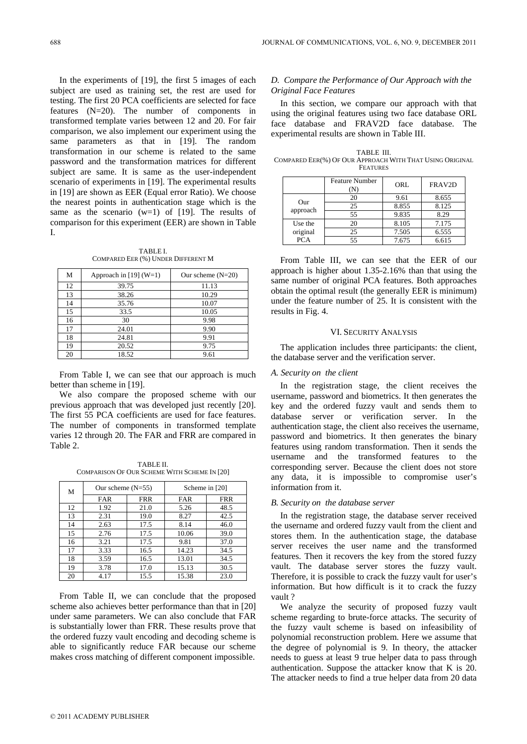In the experiments of [19], the first 5 images of each subject are used as training set, the rest are used for testing. The first 20 PCA coefficients are selected for face features (N=20). The number of components in transformed template varies between 12 and 20. For fair comparison, we also implement our experiment using the same parameters as that in [19]. The random transformation in our scheme is related to the same password and the transformation matrices for different subject are same. It is same as the user-independent scenario of experiments in [19]. The experimental results in [19] are shown as EER (Equal error Ratio). We choose the nearest points in authentication stage which is the same as the scenario  $(w=1)$  of [19]. The results of comparison for this experiment (EER) are shown in Table I.

TABLE I. COMPARED EER (%) UNDER DIFFERENT M

| М  | Approach in [19] $(W=1)$ | Our scheme $(N=20)$ |
|----|--------------------------|---------------------|
| 12 | 39.75                    | 11.13               |
| 13 | 38.26                    | 10.29               |
| 14 | 35.76                    | 10.07               |
| 15 | 33.5                     | 10.05               |
| 16 | 30                       | 9.98                |
| 17 | 24.01                    | 9.90                |
| 18 | 24.81                    | 9.91                |
| 19 | 20.52                    | 9.75                |
| 20 | 18.52                    | 9.61                |

From Table I, we can see that our approach is much better than scheme in [19].

We also compare the proposed scheme with our previous approach that was developed just recently [20]. The first 55 PCA coefficients are used for face features. The number of components in transformed template varies 12 through 20. The FAR and FRR are compared in Table 2.

TABLE II. COMPARISON OF OUR SCHEME WITH SCHEME IN [20]

| М  | Our scheme $(N=55)$ |            | Scheme in [20] |            |
|----|---------------------|------------|----------------|------------|
|    | <b>FAR</b>          | <b>FRR</b> | <b>FAR</b>     | <b>FRR</b> |
| 12 | 1.92                | 21.0       | 5.26           | 48.5       |
| 13 | 2.31                | 19.0       | 8.27           | 42.5       |
| 14 | 2.63                | 17.5       | 8.14           | 46.0       |
| 15 | 2.76                | 17.5       | 10.06          | 39.0       |
| 16 | 3.21                | 17.5       | 9.81           | 37.0       |
| 17 | 3.33                | 16.5       | 14.23          | 34.5       |
| 18 | 3.59                | 16.5       | 13.01          | 34.5       |
| 19 | 3.78                | 17.0       | 15.13          | 30.5       |
| 20 | 4.17                | 15.5       | 15.38          | 23.0       |

From Table II, we can conclude that the proposed scheme also achieves better performance than that in [20] under same parameters. We can also conclude that FAR is substantially lower than FRR. These results prove that the ordered fuzzy vault encoding and decoding scheme is able to significantly reduce FAR because our scheme makes cross matching of different component impossible.

# *D. Compare the Performance of Our Approach with the Original Face Features*

In this section, we compare our approach with that using the original features using two face database ORL face database and FRAV2D face database. The experimental results are shown in Table III.

TABLE III. COMPARED EER(%) OF OUR APPROACH WITH THAT USING ORIGINAL **FEATURES** 

|            | <b>Feature Number</b> | ORL   | FRAV2D |
|------------|-----------------------|-------|--------|
| Our        | 20                    | 9.61  | 8.655  |
| approach   | 25                    | 8.855 | 8.125  |
|            | 55                    | 9.835 | 8.29   |
| Use the    | 20                    | 8.105 | 7.175  |
| original   | 25                    | 7.505 | 6.555  |
| <b>PCA</b> | 55                    | 7.675 | 6.615  |

From Table III, we can see that the EER of our approach is higher about 1.35-2.16% than that using the same number of original PCA features. Both approaches obtain the optimal result (the generally EER is minimum) under the feature number of 25. It is consistent with the results in Fig. 4.

#### VI. SECURITY ANALYSIS

The application includes three participants: the client, the database server and the verification server.

## *A. Security on the client*

In the registration stage, the client receives the username, password and biometrics. It then generates the key and the ordered fuzzy vault and sends them to database server or verification server. In the authentication stage, the client also receives the username, password and biometrics. It then generates the binary features using random transformation. Then it sends the username and the transformed features to the corresponding server. Because the client does not store any data, it is impossible to compromise user's information from it.

#### *B. Security on the database server*

In the registration stage, the database server received the username and ordered fuzzy vault from the client and stores them. In the authentication stage, the database server receives the user name and the transformed features. Then it recovers the key from the stored fuzzy vault. The database server stores the fuzzy vault. Therefore, it is possible to crack the fuzzy vault for user's information. But how difficult is it to crack the fuzzy vault ?

We analyze the security of proposed fuzzy vault scheme regarding to brute-force attacks. The security of the fuzzy vault scheme is based on infeasibility of polynomial reconstruction problem. Here we assume that the degree of polynomial is 9. In theory, the attacker needs to guess at least 9 true helper data to pass through authentication. Suppose the attacker know that K is 20. The attacker needs to find a true helper data from 20 data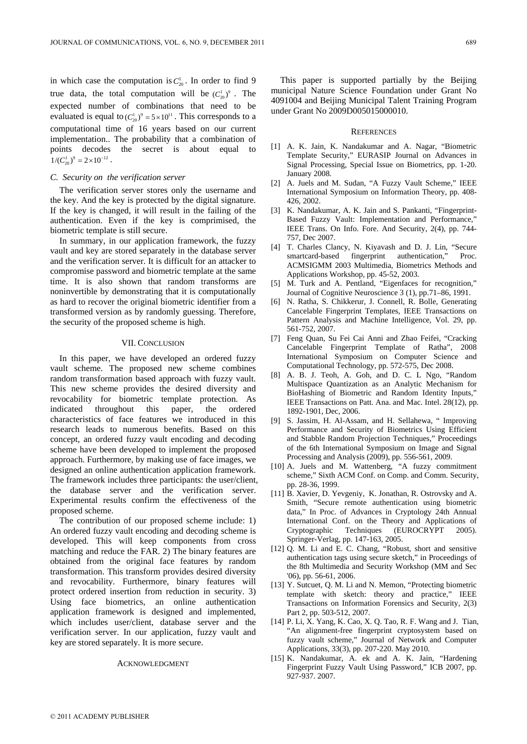in which case the computation is  $C_{20}^1$ . In order to find 9 true data, the total computation will be  $(C_{20}^1)^9$ . The expected number of combinations that need to be evaluated is equal to  $(C_{20}^1)^9 = 5 \times 10^{11}$ . This corresponds to a computational time of 16 years based on our current implementation.. The probability that a combination of points decodes the secret is about equal to  $1/(C_{20}^1)^9 = 2 \times 10^{-12}$ .

### *C. Security on the verification server*

The verification server stores only the username and the key. And the key is protected by the digital signature. If the key is changed, it will result in the failing of the authentication. Even if the key is comprimised, the biometric template is still secure.

In summary, in our application framework, the fuzzy vault and key are stored separately in the database server and the verification server. It is difficult for an attacker to compromise password and biometric template at the same time. It is also shown that random transforms are noninvertible by demonstrating that it is computationally as hard to recover the original biometric identifier from a transformed version as by randomly guessing. Therefore, the security of the proposed scheme is high.

#### VII. CONCLUSION

In this paper, we have developed an ordered fuzzy vault scheme. The proposed new scheme combines random transformation based approach with fuzzy vault. This new scheme provides the desired diversity and revocability for biometric template protection. As indicated throughout this paper, the ordered characteristics of face features we introduced in this research leads to numerous benefits. Based on this concept, an ordered fuzzy vault encoding and decoding scheme have been developed to implement the proposed approach. Furthermore, by making use of face images, we designed an online authentication application framework. The framework includes three participants: the user/client, the database server and the verification server. Experimental results confirm the effectiveness of the proposed scheme.

The contribution of our proposed scheme include: 1) An ordered fuzzy vault encoding and decoding scheme is developed. This will keep components from cross matching and reduce the FAR. 2) The binary features are obtained from the original face features by random transformation. This transform provides desired diversity and revocability. Furthermore, binary features will protect ordered insertion from reduction in security. 3) Using face biometrics, an online authentication application framework is designed and implemented, which includes user/client, database server and the verification server. In our application, fuzzy vault and key are stored separately. It is more secure.

#### ACKNOWLEDGMENT

This paper is supported partially by the Beijing municipal Nature Science Foundation under Grant No 4091004 and Beijing Municipal Talent Training Program under Grant No 2009D005015000010.

#### **REFERENCES**

- [1] A. K. Jain, K. Nandakumar and A. Nagar, "Biometric Template Security," EURASIP Journal on Advances in Signal Processing, Special Issue on Biometrics, pp. 1-20. January 2008.
- [2] A. Juels and M. Sudan, "A Fuzzy Vault Scheme," IEEE International Symposium on Information Theory, pp. 408- 426, 2002.
- [3] K. Nandakumar, A. K. Jain and S. Pankanti, "Fingerprint-Based Fuzzy Vault: Implementation and Performance," IEEE Trans. On Info. Fore. And Security, 2(4), pp. 744- 757, Dec 2007.
- [4] T. Charles Clancy, N. Kiyavash and D. J. Lin, "Secure smartcard-based fingerprint authentication," Proc. ACMSIGMM 2003 Multimedia, Biometrics Methods and Applications Workshop, pp. 45-52, 2003.
- [5] M. Turk and A. Pentland, "Eigenfaces for recognition," Journal of Cognitive Neuroscience 3 (1), pp.71–86, 1991.
- [6] N. Ratha, S. Chikkerur, J. Connell, R. Bolle, Generating Cancelable Fingerprint Templates, IEEE Transactions on Pattern Analysis and Machine Intelligence, Vol. 29, pp. 561-752, 2007.
- [7] Feng Quan, Su Fei Cai Anni and Zhao Feifei, "Cracking Cancelable Fingerprint Template of Ratha", 2008 International Symposium on Computer Science and Computational Technology, pp. 572-575, Dec 2008.
- [8] A. B. J. Teoh, A. Goh, and D. C. L Ngo, "Random Multispace Quantization as an Analytic Mechanism for BioHashing of Biometric and Random Identity Inputs," IEEE Transactions on Patt. Ana. and Mac. Intel. 28(12), pp. 1892-1901, Dec, 2006.
- [9] S. Jassim, H. Al-Assam, and H. Sellahewa, " Improving Performance and Security of Biometrics Using Efficient and Stabble Random Projection Techniques," Proceedings of the 6th International Symposium on Image and Signal Processing and Analysis (2009), pp. 556-561, 2009.
- [10] A. Juels and M. Wattenberg, "A fuzzy commitment scheme," Sixth ACM Conf. on Comp. and Comm. Security, pp. 28-36, 1999.
- [11] B. Xavier, D. Yevgeniy, K. Jonathan, R. Ostrovsky and A. Smith, "Secure remote authentication using biometric data," In Proc. of Advances in Cryptology 24th Annual International Conf. on the Theory and Applications of Cryptographic Techniques (EUROCRYPT 2005). Springer-Verlag, pp. 147-163, 2005.
- [12] Q. M. Li and E. C. Chang, "Robust, short and sensitive authentication tags using secure sketch," in Proceedings of the 8th Multimedia and Security Workshop (MM and Sec '06), pp. 56-61, 2006.
- [13] Y. Sutcuet, Q. M. Li and N. Memon, "Protecting biometric template with sketch: theory and practice," IEEE Transactions on Information Forensics and Security, 2(3) Part 2, pp. 503-512, 2007.
- [14] P. Li, X. Yang, K. Cao, X. Q. Tao, R. F. Wang and J. Tian, "An alignment-free fingerprint cryptosystem based on fuzzy vault scheme," Journal of Network and Computer Applications, 33(3), pp. 207-220. May 2010.
- [15] K. Nandakumar, A. ek and A. K. Jain, "Hardening Fingerprint Fuzzy Vault Using Password," ICB 2007, pp. 927-937. 2007.